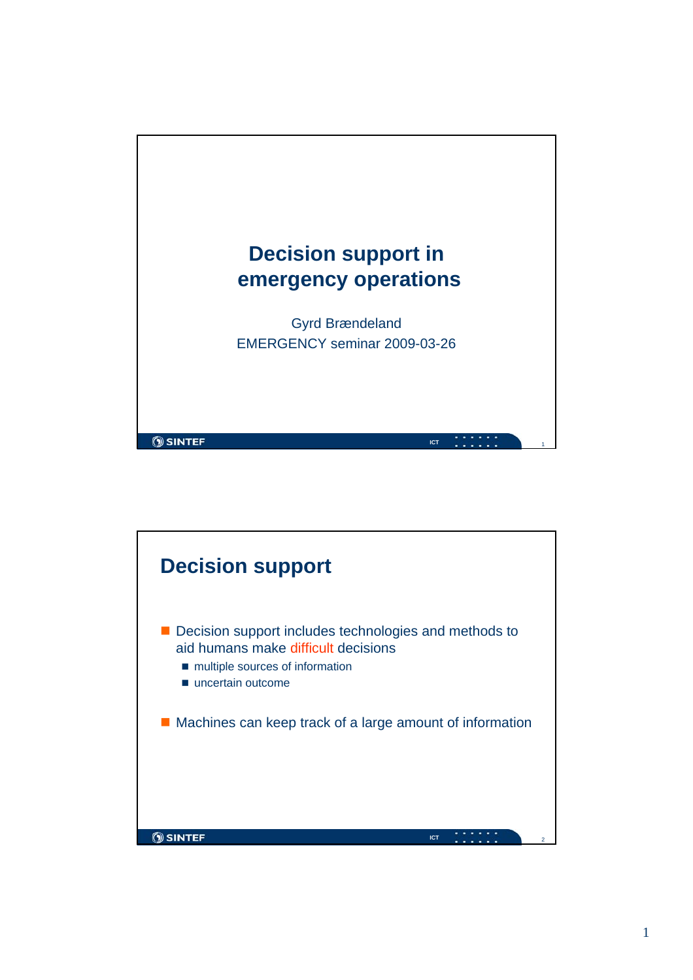

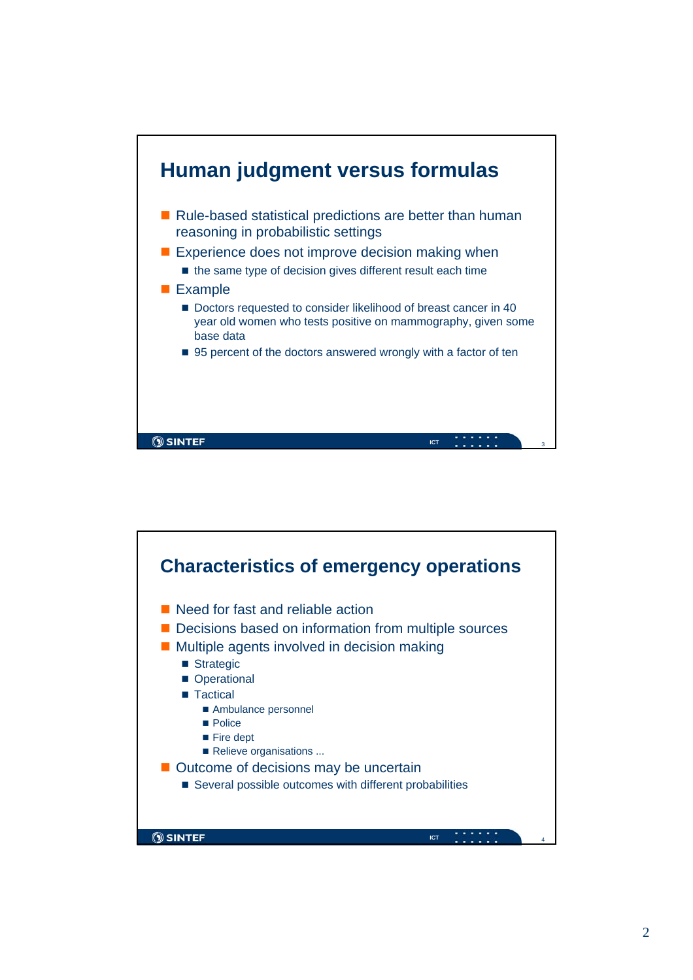

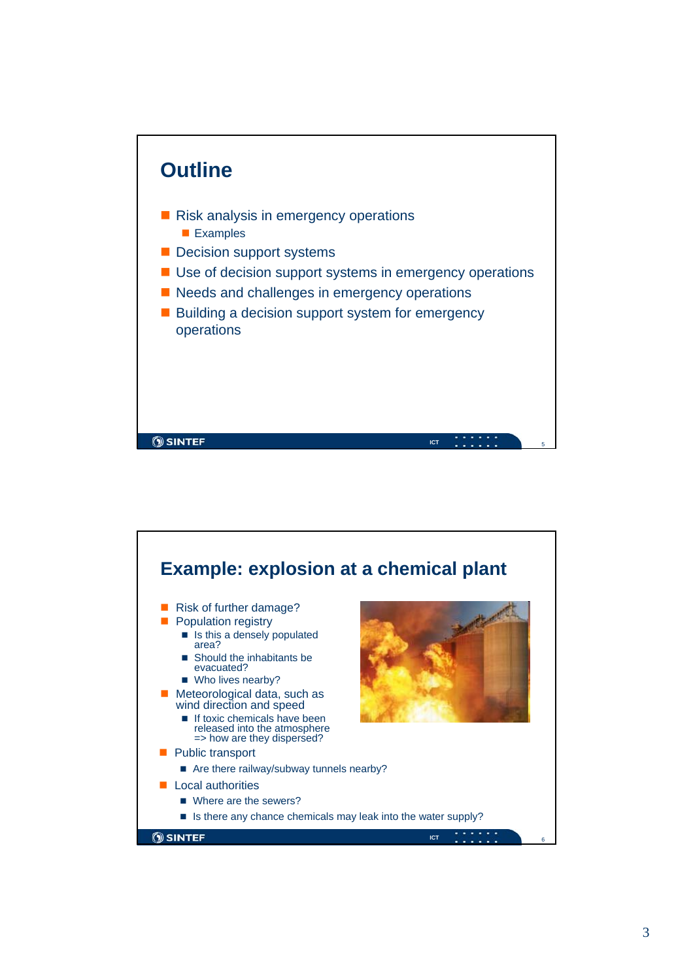

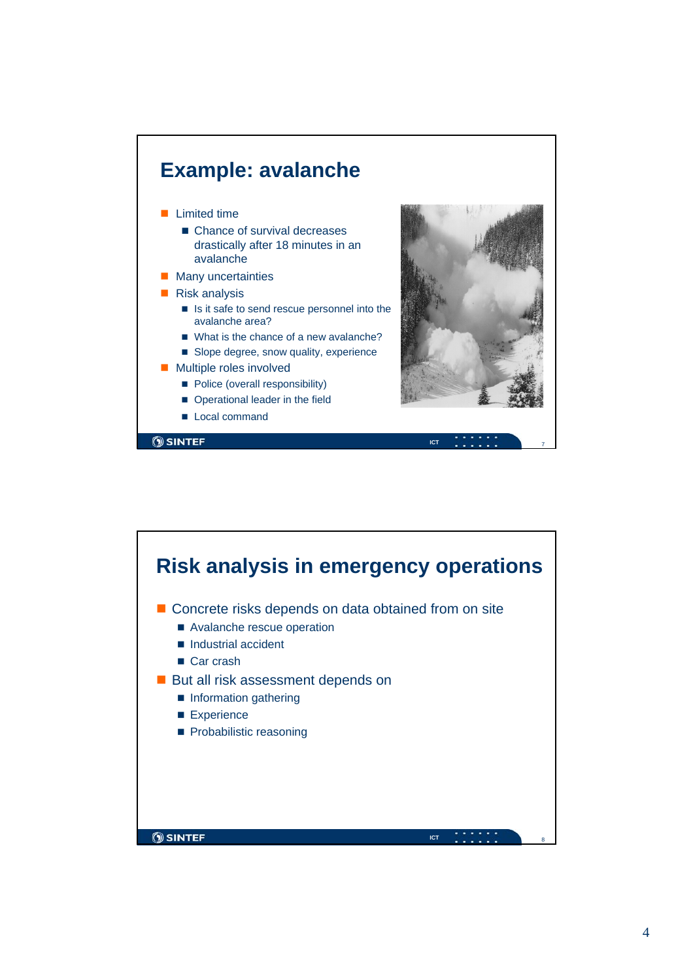

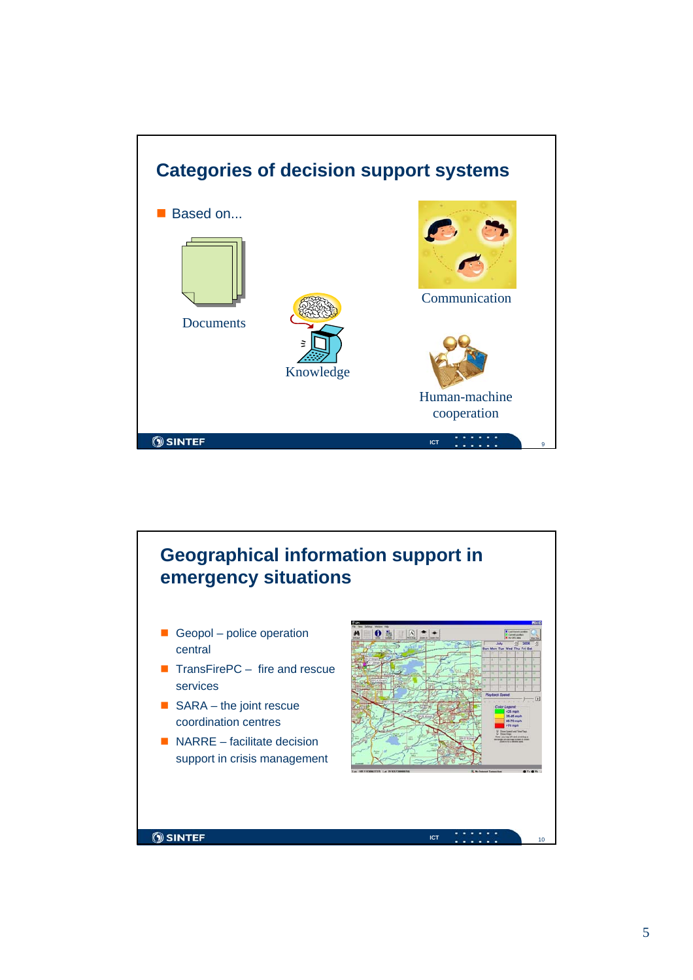

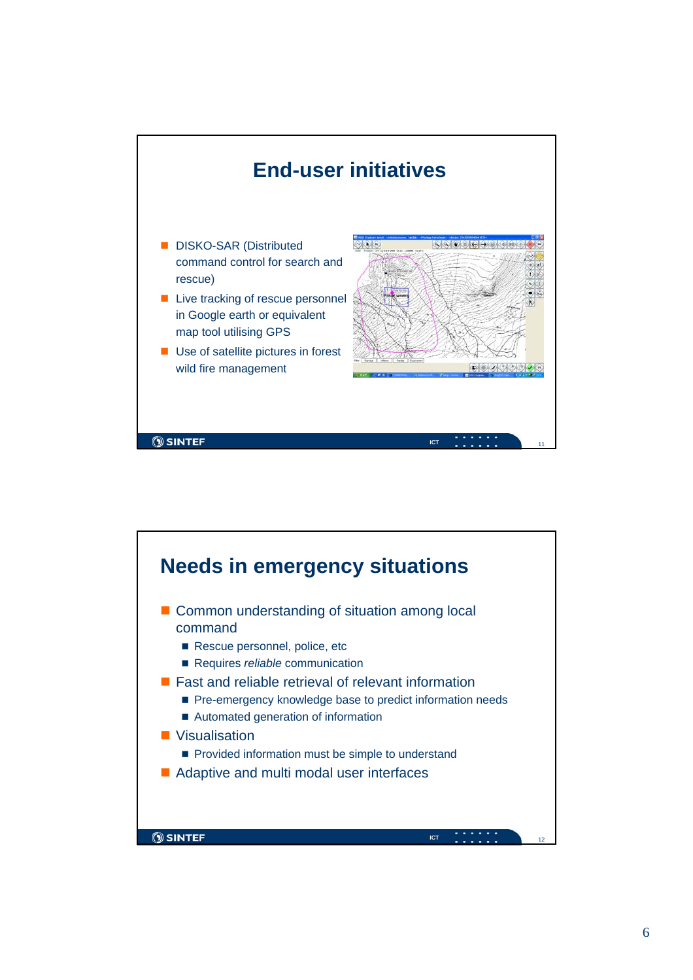

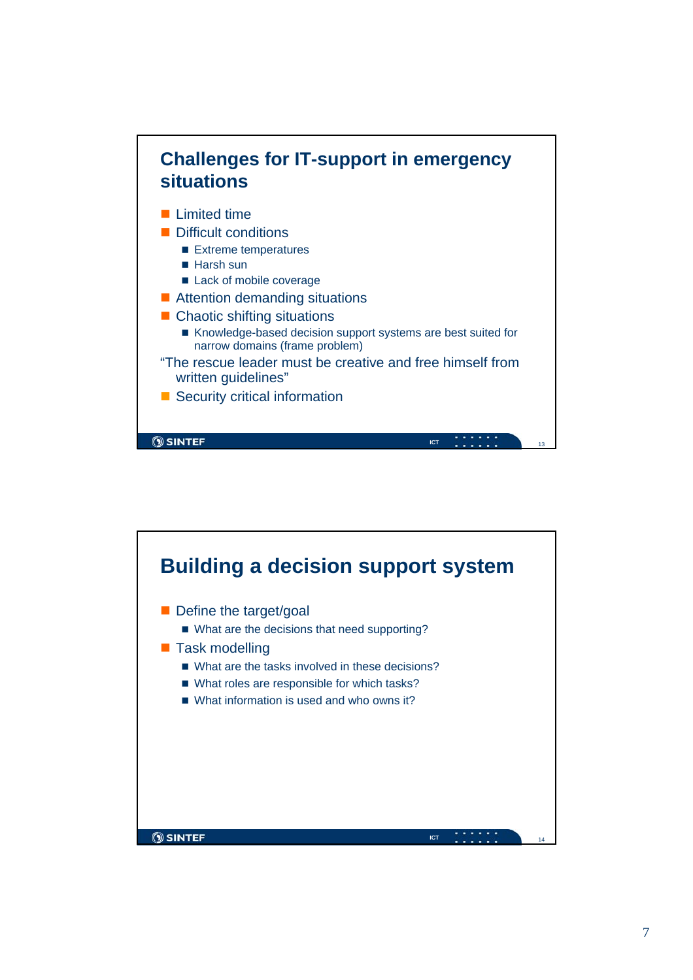

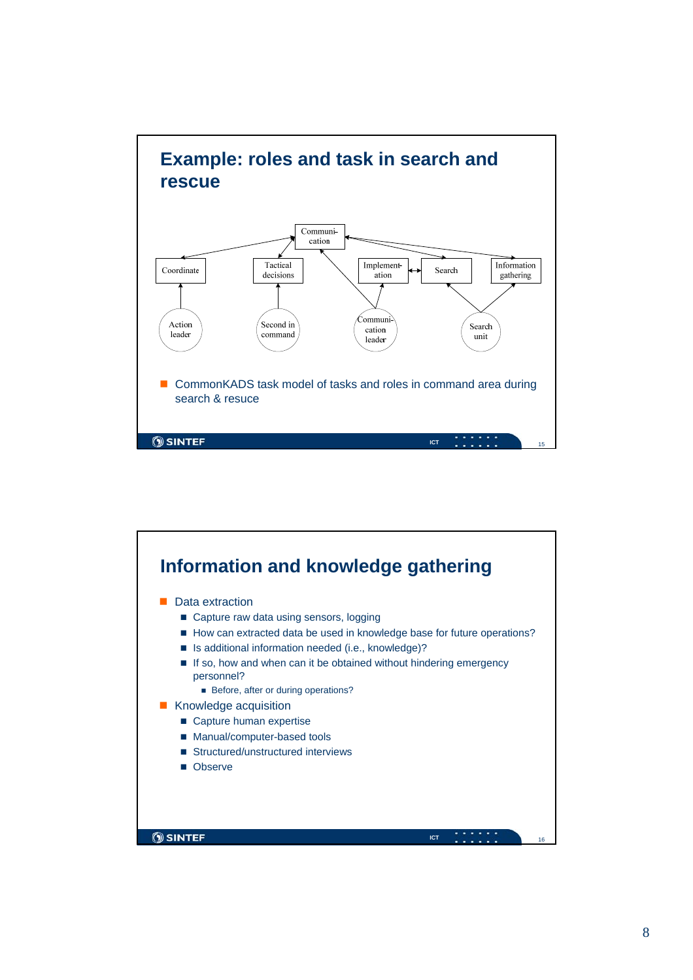